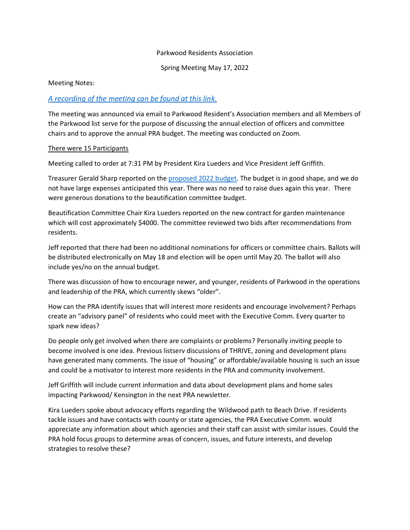## Parkwood Residents Association

Spring Meeting May 17, 2022

## Meeting Notes:

## *[A recording of the meeting can be found at this link.](/Users/jeffreygriffith/Desktop/1-PRA%20Meetings/2022%20Spring%20Meeting/https/us02web.zoom.us/rec/share/urSuo5ejwbNeJyAsIDB8pJbs9C5WrwAJ2rZ-rqUALXWJICOa62m1icixs-D0t2mD.itgugptYgJu2Azml)*

The meeting was announced via email to Parkwood Resident's Association members and all Members of the Parkwood list serve for the purpose of discussing the annual election of officers and committee chairs and to approve the annual PRA budget. The meeting was conducted on Zoom.

## There were 15 Participants

Meeting called to order at 7:31 PM by President Kira Lueders and Vice President Jeff Griffith.

Treasurer Gerald Sharp reported on the [proposed 2022 budget.](https://pra727684468.files.wordpress.com/2022/05/2022-budget_abridged.pdf) The budget is in good shape, and we do not have large expenses anticipated this year. There was no need to raise dues again this year. There were generous donations to the beautification committee budget.

Beautification Committee Chair Kira Lueders reported on the new contract for garden maintenance which will cost approximately \$4000. The committee reviewed two bids after recommendations from residents.

Jeff reported that there had been no additional nominations for officers or committee chairs. Ballots will be distributed electronically on May 18 and election will be open until May 20. The ballot will also include yes/no on the annual budget.

There was discussion of how to encourage newer, and younger, residents of Parkwood in the operations and leadership of the PRA, which currently skews "older".

How can the PRA identify issues that will interest more residents and encourage involvement? Perhaps create an "advisory panel" of residents who could meet with the Executive Comm. Every quarter to spark new ideas?

Do people only get involved when there are complaints or problems? Personally inviting people to become involved is one idea. Previous listserv discussions of THRIVE, zoning and development plans have generated many comments. The issue of "housing" or affordable/available housing is such an issue and could be a motivator to interest more residents in the PRA and community involvement.

Jeff Griffith will include current information and data about development plans and home sales impacting Parkwood/ Kensington in the next PRA newsletter.

Kira Lueders spoke about advocacy efforts regarding the Wildwood path to Beach Drive. If residents tackle issues and have contacts with county or state agencies, the PRA Executive Comm. would appreciate any information about which agencies and their staff can assist with similar issues. Could the PRA hold focus groups to determine areas of concern, issues, and future interests, and develop strategies to resolve these?